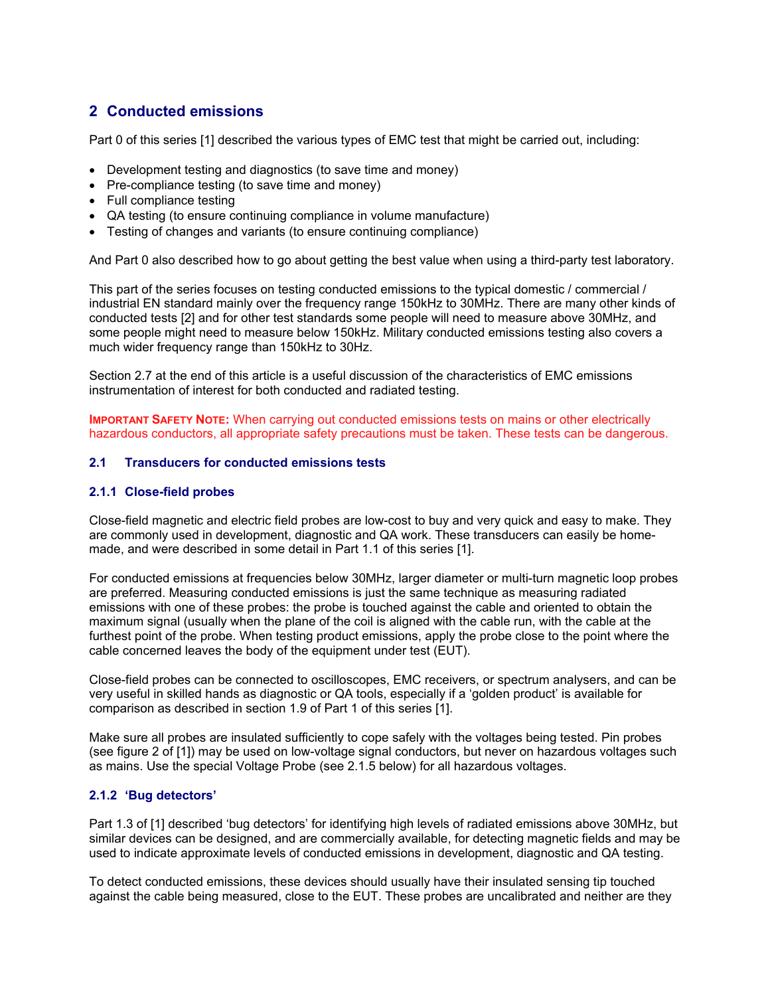# **2 Conducted emissions**

Part 0 of this series [1] described the various types of EMC test that might be carried out, including:

- Development testing and diagnostics (to save time and money)
- Pre-compliance testing (to save time and money)
- Full compliance testing
- QA testing (to ensure continuing compliance in volume manufacture)
- Testing of changes and variants (to ensure continuing compliance)

And Part 0 also described how to go about getting the best value when using a third-party test laboratory.

This part of the series focuses on testing conducted emissions to the typical domestic / commercial / industrial EN standard mainly over the frequency range 150kHz to 30MHz. There are many other kinds of conducted tests [2] and for other test standards some people will need to measure above 30MHz, and some people might need to measure below 150kHz. Military conducted emissions testing also covers a much wider frequency range than 150kHz to 30Hz.

Section 2.7 at the end of this article is a useful discussion of the characteristics of EMC emissions instrumentation of interest for both conducted and radiated testing.

**IMPORTANT SAFETY NOTE:** When carrying out conducted emissions tests on mains or other electrically hazardous conductors, all appropriate safety precautions must be taken. These tests can be dangerous.

#### **2.1 Transducers for conducted emissions tests**

#### **2.1.1 Close-field probes**

Close-field magnetic and electric field probes are low-cost to buy and very quick and easy to make. They are commonly used in development, diagnostic and QA work. These transducers can easily be homemade, and were described in some detail in Part 1.1 of this series [1].

For conducted emissions at frequencies below 30MHz, larger diameter or multi-turn magnetic loop probes are preferred. Measuring conducted emissions is just the same technique as measuring radiated emissions with one of these probes: the probe is touched against the cable and oriented to obtain the maximum signal (usually when the plane of the coil is aligned with the cable run, with the cable at the furthest point of the probe. When testing product emissions, apply the probe close to the point where the cable concerned leaves the body of the equipment under test (EUT).

Close-field probes can be connected to oscilloscopes, EMC receivers, or spectrum analysers, and can be very useful in skilled hands as diagnostic or QA tools, especially if a 'golden product' is available for comparison as described in section 1.9 of Part 1 of this series [1].

Make sure all probes are insulated sufficiently to cope safely with the voltages being tested. Pin probes (see figure 2 of [1]) may be used on low-voltage signal conductors, but never on hazardous voltages such as mains. Use the special Voltage Probe (see 2.1.5 below) for all hazardous voltages.

#### **2.1.2 'Bug detectors'**

Part 1.3 of [1] described 'bug detectors' for identifying high levels of radiated emissions above 30MHz, but similar devices can be designed, and are commercially available, for detecting magnetic fields and may be used to indicate approximate levels of conducted emissions in development, diagnostic and QA testing.

To detect conducted emissions, these devices should usually have their insulated sensing tip touched against the cable being measured, close to the EUT. These probes are uncalibrated and neither are they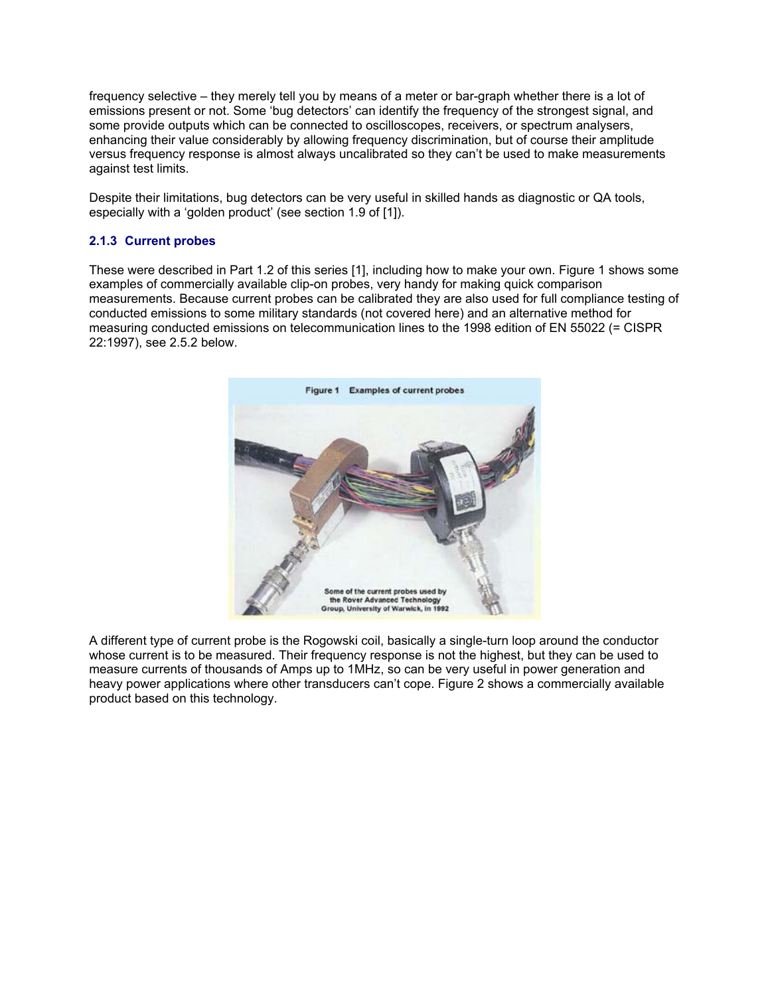frequency selective – they merely tell you by means of a meter or bar-graph whether there is a lot of emissions present or not. Some 'bug detectors' can identify the frequency of the strongest signal, and some provide outputs which can be connected to oscilloscopes, receivers, or spectrum analysers, enhancing their value considerably by allowing frequency discrimination, but of course their amplitude versus frequency response is almost always uncalibrated so they can't be used to make measurements against test limits.

Despite their limitations, bug detectors can be very useful in skilled hands as diagnostic or QA tools, especially with a 'golden product' (see section 1.9 of [1]).

# **2.1.3 Current probes**

These were described in Part 1.2 of this series [1], including how to make your own. Figure 1 shows some examples of commercially available clip-on probes, very handy for making quick comparison measurements. Because current probes can be calibrated they are also used for full compliance testing of conducted emissions to some military standards (not covered here) and an alternative method for measuring conducted emissions on telecommunication lines to the 1998 edition of EN 55022 (= CISPR 22:1997), see 2.5.2 below.



A different type of current probe is the Rogowski coil, basically a single-turn loop around the conductor whose current is to be measured. Their frequency response is not the highest, but they can be used to measure currents of thousands of Amps up to 1MHz, so can be very useful in power generation and heavy power applications where other transducers can't cope. Figure 2 shows a commercially available product based on this technology.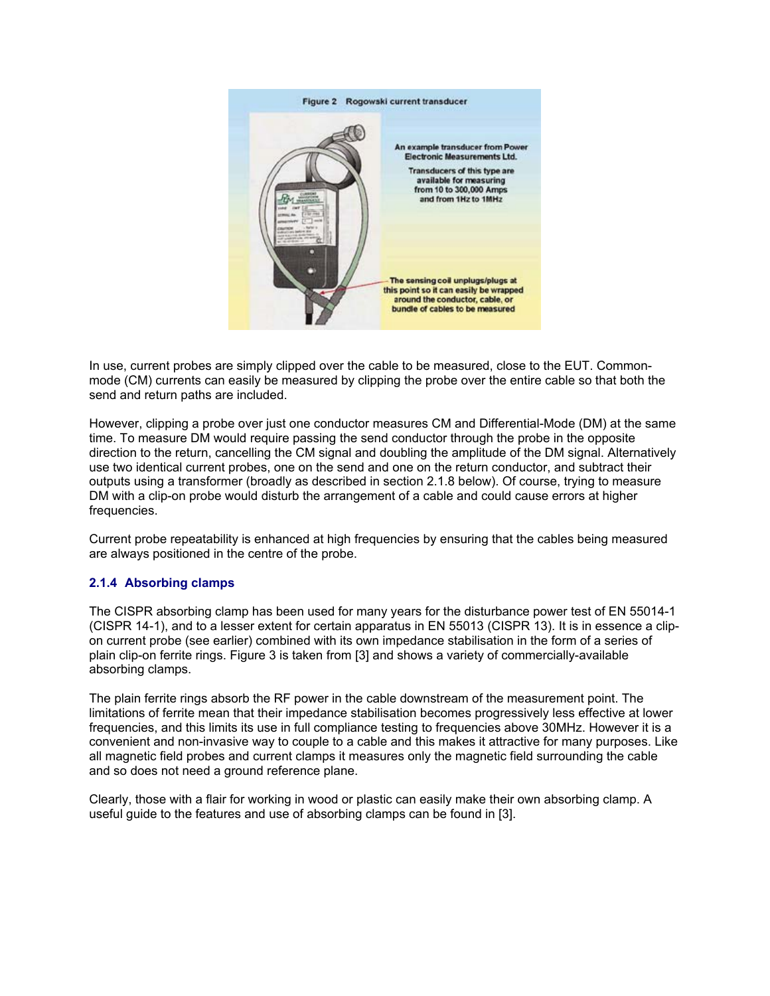

In use, current probes are simply clipped over the cable to be measured, close to the EUT. Commonmode (CM) currents can easily be measured by clipping the probe over the entire cable so that both the send and return paths are included.

However, clipping a probe over just one conductor measures CM and Differential-Mode (DM) at the same time. To measure DM would require passing the send conductor through the probe in the opposite direction to the return, cancelling the CM signal and doubling the amplitude of the DM signal. Alternatively use two identical current probes, one on the send and one on the return conductor, and subtract their outputs using a transformer (broadly as described in section 2.1.8 below). Of course, trying to measure DM with a clip-on probe would disturb the arrangement of a cable and could cause errors at higher frequencies.

Current probe repeatability is enhanced at high frequencies by ensuring that the cables being measured are always positioned in the centre of the probe.

# **2.1.4 Absorbing clamps**

The CISPR absorbing clamp has been used for many years for the disturbance power test of EN 55014-1 (CISPR 14-1), and to a lesser extent for certain apparatus in EN 55013 (CISPR 13). It is in essence a clipon current probe (see earlier) combined with its own impedance stabilisation in the form of a series of plain clip-on ferrite rings. Figure 3 is taken from [3] and shows a variety of commercially-available absorbing clamps.

The plain ferrite rings absorb the RF power in the cable downstream of the measurement point. The limitations of ferrite mean that their impedance stabilisation becomes progressively less effective at lower frequencies, and this limits its use in full compliance testing to frequencies above 30MHz. However it is a convenient and non-invasive way to couple to a cable and this makes it attractive for many purposes. Like all magnetic field probes and current clamps it measures only the magnetic field surrounding the cable and so does not need a ground reference plane.

Clearly, those with a flair for working in wood or plastic can easily make their own absorbing clamp. A useful guide to the features and use of absorbing clamps can be found in [3].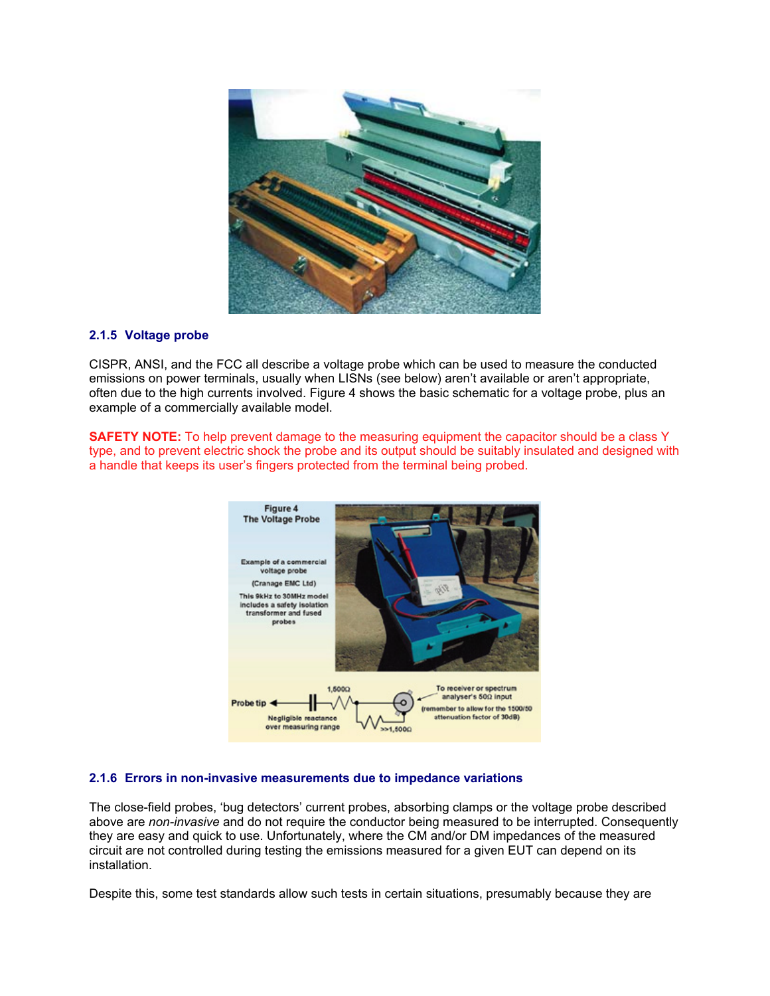

# **2.1.5 Voltage probe**

CISPR, ANSI, and the FCC all describe a voltage probe which can be used to measure the conducted emissions on power terminals, usually when LISNs (see below) aren't available or aren't appropriate, often due to the high currents involved. Figure 4 shows the basic schematic for a voltage probe, plus an example of a commercially available model.

**SAFETY NOTE:** To help prevent damage to the measuring equipment the capacitor should be a class Y type, and to prevent electric shock the probe and its output should be suitably insulated and designed with a handle that keeps its user's fingers protected from the terminal being probed.



# **2.1.6 Errors in non-invasive measurements due to impedance variations**

The close-field probes, 'bug detectors' current probes, absorbing clamps or the voltage probe described above are *non-invasive* and do not require the conductor being measured to be interrupted. Consequently they are easy and quick to use. Unfortunately, where the CM and/or DM impedances of the measured circuit are not controlled during testing the emissions measured for a given EUT can depend on its installation.

Despite this, some test standards allow such tests in certain situations, presumably because they are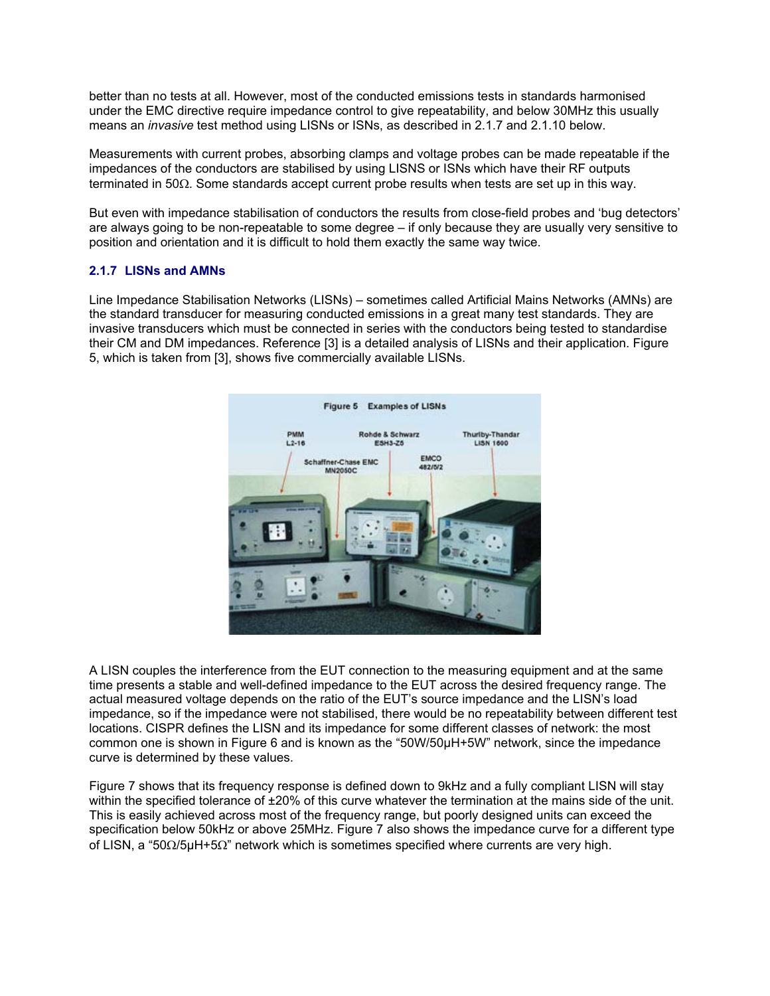better than no tests at all. However, most of the conducted emissions tests in standards harmonised under the EMC directive require impedance control to give repeatability, and below 30MHz this usually means an *invasive* test method using LISNs or ISNs, as described in 2.1.7 and 2.1.10 below.

Measurements with current probes, absorbing clamps and voltage probes can be made repeatable if the impedances of the conductors are stabilised by using LISNS or ISNs which have their RF outputs terminated in 50Ω. Some standards accept current probe results when tests are set up in this way.

But even with impedance stabilisation of conductors the results from close-field probes and 'bug detectors' are always going to be non-repeatable to some degree – if only because they are usually very sensitive to position and orientation and it is difficult to hold them exactly the same way twice.

# **2.1.7 LISNs and AMNs**

Line Impedance Stabilisation Networks (LISNs) – sometimes called Artificial Mains Networks (AMNs) are the standard transducer for measuring conducted emissions in a great many test standards. They are invasive transducers which must be connected in series with the conductors being tested to standardise their CM and DM impedances. Reference [3] is a detailed analysis of LISNs and their application. Figure 5, which is taken from [3], shows five commercially available LISNs.



A LISN couples the interference from the EUT connection to the measuring equipment and at the same time presents a stable and well-defined impedance to the EUT across the desired frequency range. The actual measured voltage depends on the ratio of the EUT's source impedance and the LISN's load impedance, so if the impedance were not stabilised, there would be no repeatability between different test locations. CISPR defines the LISN and its impedance for some different classes of network: the most common one is shown in Figure 6 and is known as the "50W/50µH+5W" network, since the impedance curve is determined by these values.

Figure 7 shows that its frequency response is defined down to 9kHz and a fully compliant LISN will stay within the specified tolerance of ±20% of this curve whatever the termination at the mains side of the unit. This is easily achieved across most of the frequency range, but poorly designed units can exceed the specification below 50kHz or above 25MHz. Figure 7 also shows the impedance curve for a different type of LISN, a "50Ω/5µH+5Ω" network which is sometimes specified where currents are very high.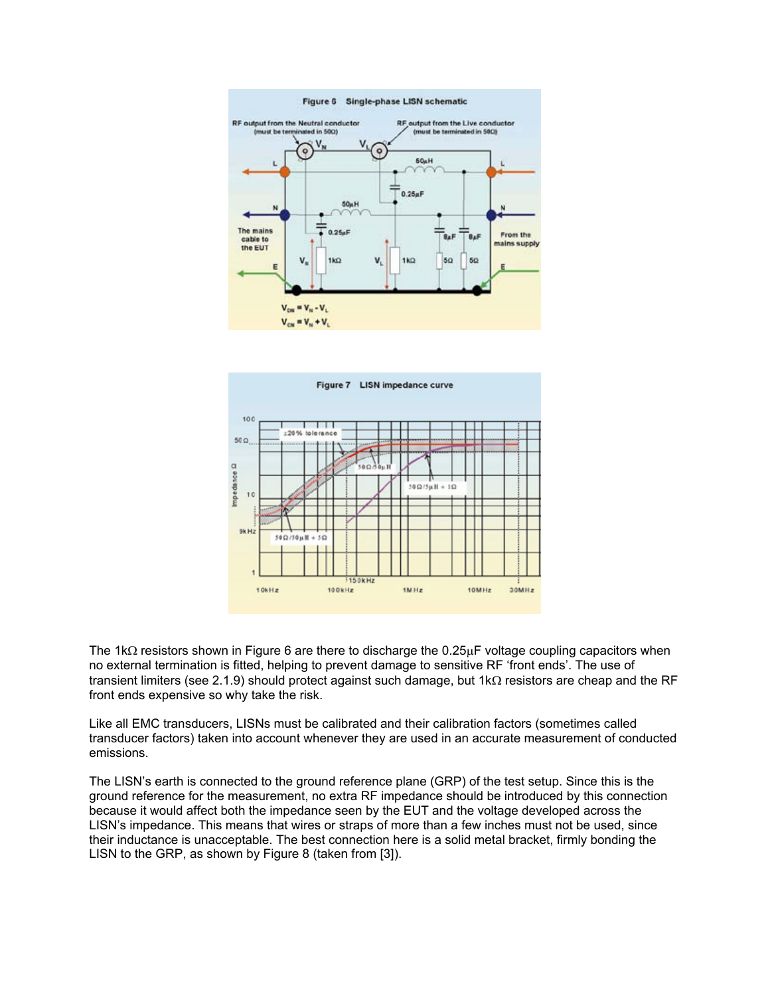



The 1kΩ resistors shown in Figure 6 are there to discharge the 0.25µF voltage coupling capacitors when no external termination is fitted, helping to prevent damage to sensitive RF 'front ends'. The use of transient limiters (see 2.1.9) should protect against such damage, but 1kΩ resistors are cheap and the RF front ends expensive so why take the risk.

Like all EMC transducers, LISNs must be calibrated and their calibration factors (sometimes called transducer factors) taken into account whenever they are used in an accurate measurement of conducted emissions.

The LISN's earth is connected to the ground reference plane (GRP) of the test setup. Since this is the ground reference for the measurement, no extra RF impedance should be introduced by this connection because it would affect both the impedance seen by the EUT and the voltage developed across the LISN's impedance. This means that wires or straps of more than a few inches must not be used, since their inductance is unacceptable. The best connection here is a solid metal bracket, firmly bonding the LISN to the GRP, as shown by Figure 8 (taken from [3]).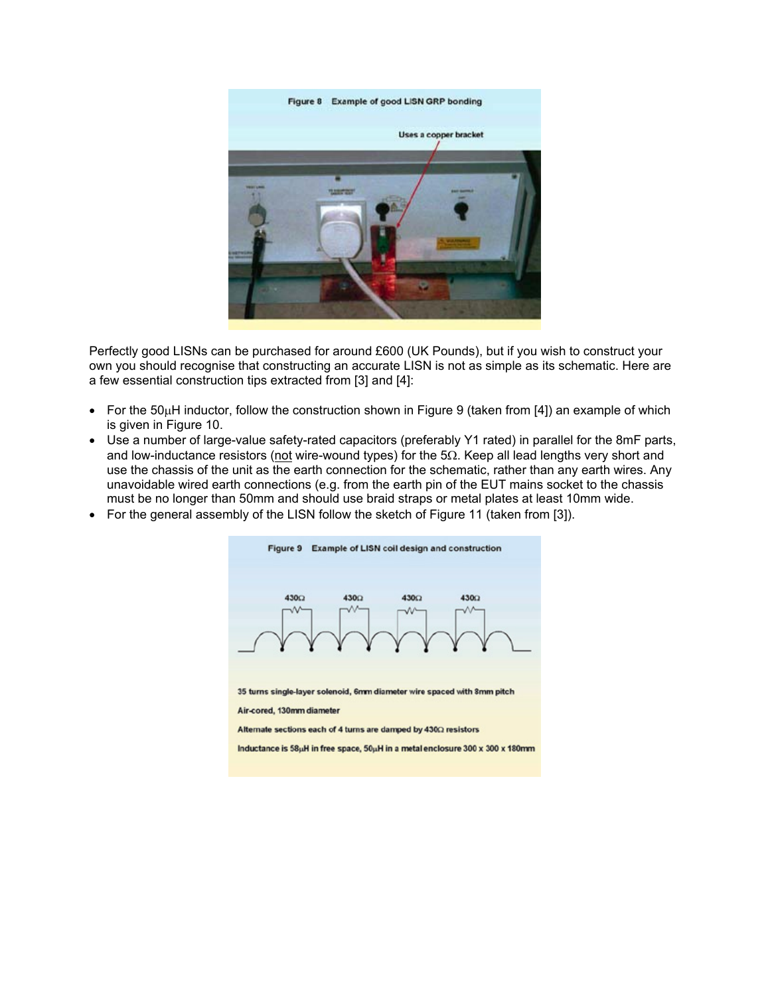

Perfectly good LISNs can be purchased for around £600 (UK Pounds), but if you wish to construct your own you should recognise that constructing an accurate LISN is not as simple as its schematic. Here are a few essential construction tips extracted from [3] and [4]:

- For the 50µH inductor, follow the construction shown in Figure 9 (taken from [4]) an example of which is given in Figure 10.
- Use a number of large-value safety-rated capacitors (preferably Y1 rated) in parallel for the 8mF parts, and low-inductance resistors (not wire-wound types) for the 5Ω. Keep all lead lengths very short and use the chassis of the unit as the earth connection for the schematic, rather than any earth wires. Any unavoidable wired earth connections (e.g. from the earth pin of the EUT mains socket to the chassis must be no longer than 50mm and should use braid straps or metal plates at least 10mm wide.
- For the general assembly of the LISN follow the sketch of Figure 11 (taken from [3]).



Alternate sections each of 4 turns are damped by 4300 resistors

Inductance is 58µH in free space, 50µH in a metal enclosure 300 x 300 x 180mm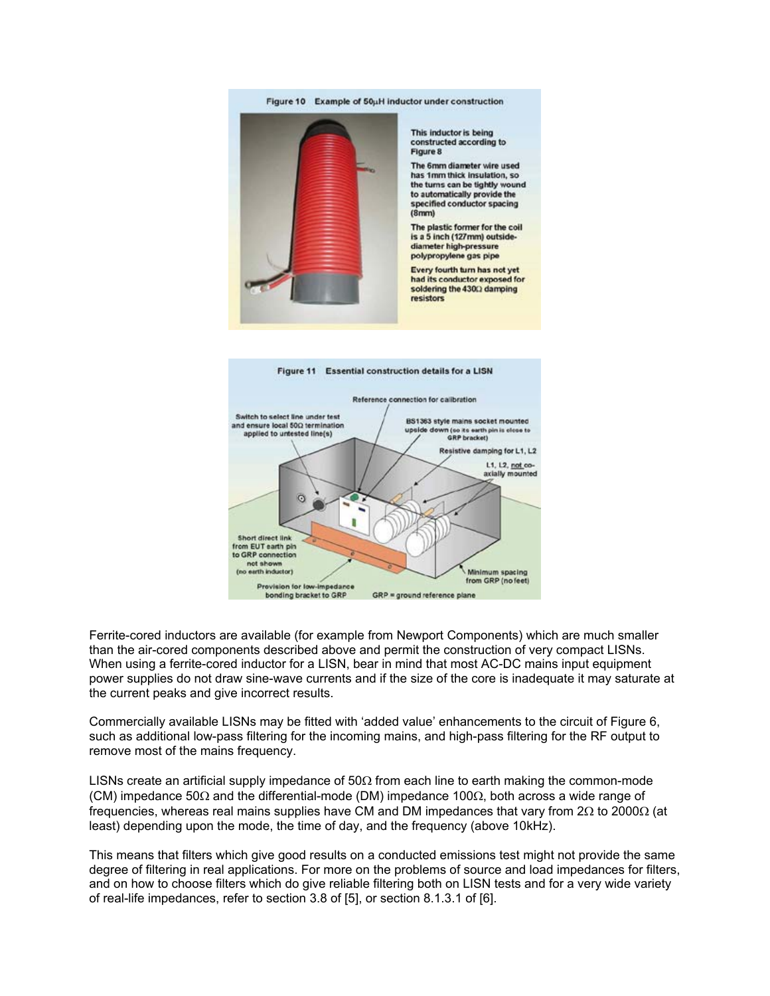

This inductor is being constructed according to Floure 8

The 6mm diameter wire used has 1mm thick insulation, so the turns can be tightly wound to automatically provide the specified conductor spacing  $(8mm)$ 

The plastic former for the coil is a 5 inch (127mm) outsidediameter high-pressure polypropylene gas pipe

Every fourth turn has not yet had its conductor exposed for soldering the 4300 damping resistors



Ferrite-cored inductors are available (for example from Newport Components) which are much smaller than the air-cored components described above and permit the construction of very compact LISNs. When using a ferrite-cored inductor for a LISN, bear in mind that most AC-DC mains input equipment power supplies do not draw sine-wave currents and if the size of the core is inadequate it may saturate at the current peaks and give incorrect results.

Commercially available LISNs may be fitted with 'added value' enhancements to the circuit of Figure 6, such as additional low-pass filtering for the incoming mains, and high-pass filtering for the RF output to remove most of the mains frequency.

LISNs create an artificial supply impedance of  $50\Omega$  from each line to earth making the common-mode (CM) impedance 50Ω and the differential-mode (DM) impedance 100Ω, both across a wide range of frequencies, whereas real mains supplies have CM and DM impedances that vary from 2Ω to 2000Ω (at least) depending upon the mode, the time of day, and the frequency (above 10kHz).

This means that filters which give good results on a conducted emissions test might not provide the same degree of filtering in real applications. For more on the problems of source and load impedances for filters, and on how to choose filters which do give reliable filtering both on LISN tests and for a very wide variety of real-life impedances, refer to section 3.8 of [5], or section 8.1.3.1 of [6].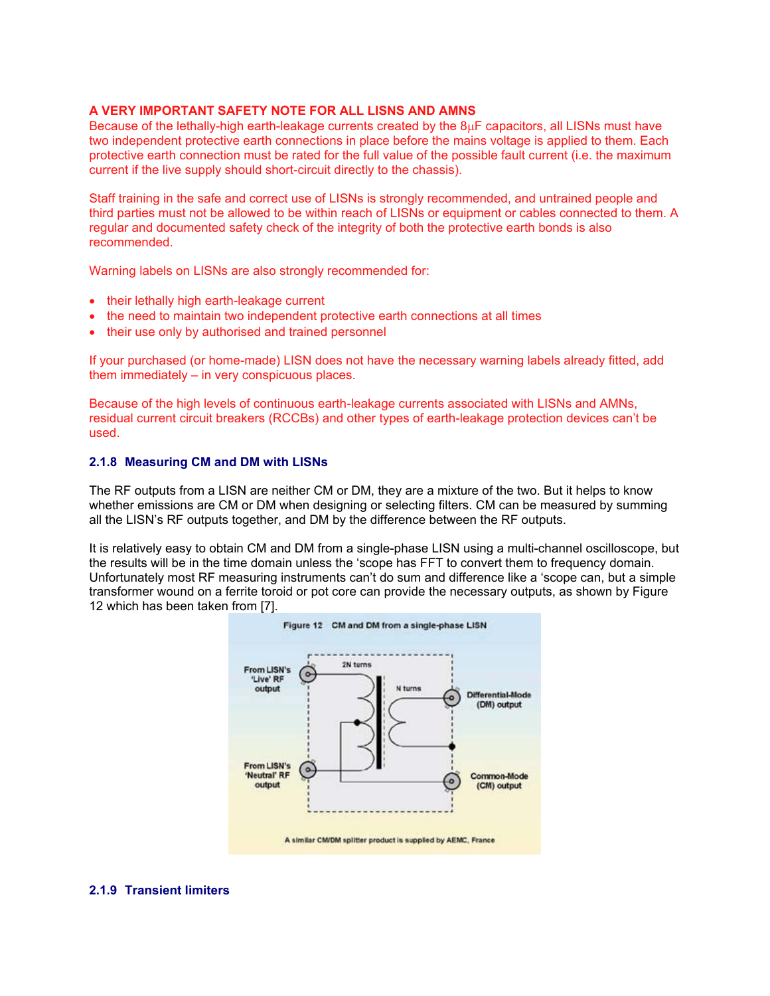# **A VERY IMPORTANT SAFETY NOTE FOR ALL LISNS AND AMNS**

Because of the lethally-high earth-leakage currents created by the 8µF capacitors, all LISNs must have two independent protective earth connections in place before the mains voltage is applied to them. Each protective earth connection must be rated for the full value of the possible fault current (i.e. the maximum current if the live supply should short-circuit directly to the chassis).

Staff training in the safe and correct use of LISNs is strongly recommended, and untrained people and third parties must not be allowed to be within reach of LISNs or equipment or cables connected to them. A regular and documented safety check of the integrity of both the protective earth bonds is also recommended.

Warning labels on LISNs are also strongly recommended for:

- their lethally high earth-leakage current
- the need to maintain two independent protective earth connections at all times
- their use only by authorised and trained personnel

If your purchased (or home-made) LISN does not have the necessary warning labels already fitted, add them immediately – in very conspicuous places.

Because of the high levels of continuous earth-leakage currents associated with LISNs and AMNs, residual current circuit breakers (RCCBs) and other types of earth-leakage protection devices can't be used.

#### **2.1.8 Measuring CM and DM with LISNs**

The RF outputs from a LISN are neither CM or DM, they are a mixture of the two. But it helps to know whether emissions are CM or DM when designing or selecting filters. CM can be measured by summing all the LISN's RF outputs together, and DM by the difference between the RF outputs.

It is relatively easy to obtain CM and DM from a single-phase LISN using a multi-channel oscilloscope, but the results will be in the time domain unless the 'scope has FFT to convert them to frequency domain. Unfortunately most RF measuring instruments can't do sum and difference like a 'scope can, but a simple transformer wound on a ferrite toroid or pot core can provide the necessary outputs, as shown by Figure 12 which has been taken from [7].



#### **2.1.9 Transient limiters**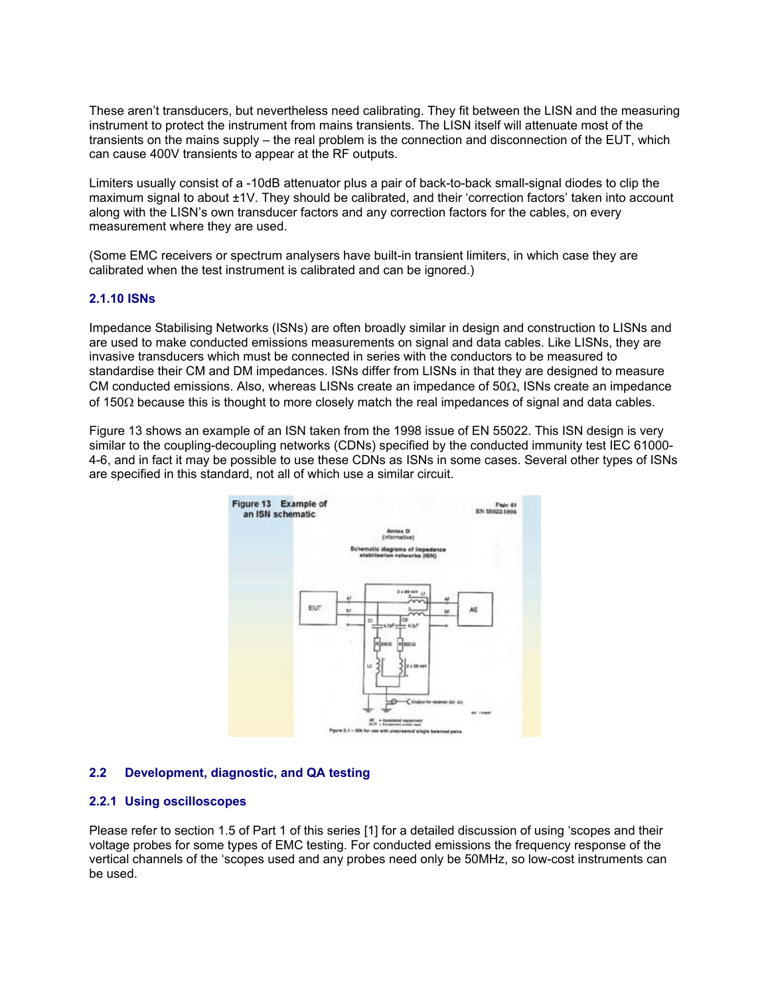These aren't transducers, but nevertheless need calibrating. They fit between the LISN and the measuring instrument to protect the instrument from mains transients. The LISN itself will attenuate most of the transients on the mains supply – the real problem is the connection and disconnection of the EUT, which can cause 400V transients to appear at the RF outputs.

Limiters usually consist of a -10dB attenuator plus a pair of back-to-back small-signal diodes to clip the maximum signal to about ±1V. They should be calibrated, and their 'correction factors' taken into account along with the LISN's own transducer factors and any correction factors for the cables, on every measurement where they are used.

(Some EMC receivers or spectrum analysers have built-in transient limiters, in which case they are calibrated when the test instrument is calibrated and can be ignored.)

#### **2.1.10 ISNs**

Impedance Stabilising Networks (ISNs) are often broadly similar in design and construction to LISNs and are used to make conducted emissions measurements on signal and data cables. Like LISNs, they are invasive transducers which must be connected in series with the conductors to be measured to standardise their CM and DM impedances. ISNs differ from LISNs in that they are designed to measure CM conducted emissions. Also, whereas LISNs create an impedance of  $50\Omega$ , ISNs create an impedance of 150Ω because this is thought to more closely match the real impedances of signal and data cables.

Figure 13 shows an example of an ISN taken from the 1998 issue of EN 55022. This ISN design is very similar to the coupling-decoupling networks (CDNs) specified by the conducted immunity test IEC 61000- 4-6, and in fact it may be possible to use these CDNs as ISNs in some cases. Several other types of ISNs are specified in this standard, not all of which use a similar circuit.



#### **2.2 Development, diagnostic, and QA testing**

#### **2.2.1 Using oscilloscopes**

Please refer to section 1.5 of Part 1 of this series [1] for a detailed discussion of using 'scopes and their voltage probes for some types of EMC testing. For conducted emissions the frequency response of the vertical channels of the 'scopes used and any probes need only be 50MHz, so low-cost instruments can be used.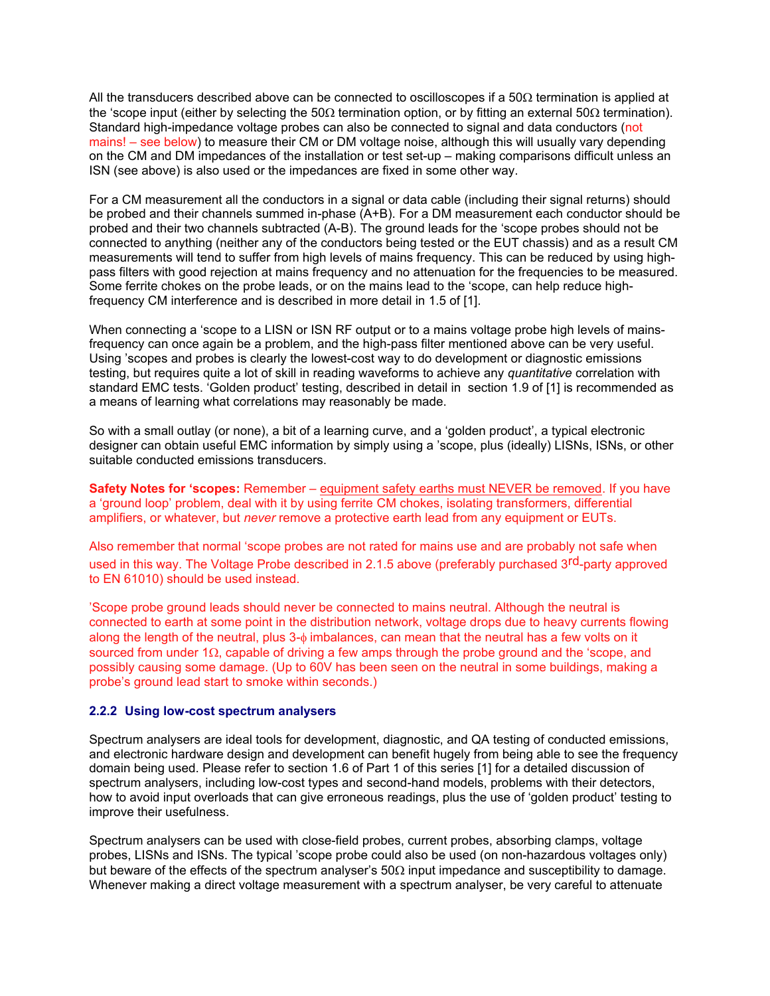All the transducers described above can be connected to oscilloscopes if a  $50\Omega$  termination is applied at the 'scope input (either by selecting the 50Ω termination option, or by fitting an external 50Ω termination). Standard high-impedance voltage probes can also be connected to signal and data conductors (not mains! – see below) to measure their CM or DM voltage noise, although this will usually vary depending on the CM and DM impedances of the installation or test set-up – making comparisons difficult unless an ISN (see above) is also used or the impedances are fixed in some other way.

For a CM measurement all the conductors in a signal or data cable (including their signal returns) should be probed and their channels summed in-phase (A+B). For a DM measurement each conductor should be probed and their two channels subtracted (A-B). The ground leads for the 'scope probes should not be connected to anything (neither any of the conductors being tested or the EUT chassis) and as a result CM measurements will tend to suffer from high levels of mains frequency. This can be reduced by using highpass filters with good rejection at mains frequency and no attenuation for the frequencies to be measured. Some ferrite chokes on the probe leads, or on the mains lead to the 'scope, can help reduce highfrequency CM interference and is described in more detail in 1.5 of [1].

When connecting a 'scope to a LISN or ISN RF output or to a mains voltage probe high levels of mainsfrequency can once again be a problem, and the high-pass filter mentioned above can be very useful. Using 'scopes and probes is clearly the lowest-cost way to do development or diagnostic emissions testing, but requires quite a lot of skill in reading waveforms to achieve any *quantitative* correlation with standard EMC tests. 'Golden product' testing, described in detail in section 1.9 of [1] is recommended as a means of learning what correlations may reasonably be made.

So with a small outlay (or none), a bit of a learning curve, and a 'golden product', a typical electronic designer can obtain useful EMC information by simply using a 'scope, plus (ideally) LISNs, ISNs, or other suitable conducted emissions transducers.

**Safety Notes for 'scopes:** Remember – equipment safety earths must NEVER be removed. If you have a 'ground loop' problem, deal with it by using ferrite CM chokes, isolating transformers, differential amplifiers, or whatever, but *never* remove a protective earth lead from any equipment or EUTs.

Also remember that normal 'scope probes are not rated for mains use and are probably not safe when used in this way. The Voltage Probe described in 2.1.5 above (preferably purchased 3<sup>rd</sup>-party approved to EN 61010) should be used instead.

'Scope probe ground leads should never be connected to mains neutral. Although the neutral is connected to earth at some point in the distribution network, voltage drops due to heavy currents flowing along the length of the neutral, plus 3-φ imbalances, can mean that the neutral has a few volts on it sourced from under 1 $\Omega$ , capable of driving a few amps through the probe ground and the 'scope, and possibly causing some damage. (Up to 60V has been seen on the neutral in some buildings, making a probe's ground lead start to smoke within seconds.)

#### **2.2.2 Using low-cost spectrum analysers**

Spectrum analysers are ideal tools for development, diagnostic, and QA testing of conducted emissions, and electronic hardware design and development can benefit hugely from being able to see the frequency domain being used. Please refer to section 1.6 of Part 1 of this series [1] for a detailed discussion of spectrum analysers, including low-cost types and second-hand models, problems with their detectors, how to avoid input overloads that can give erroneous readings, plus the use of 'golden product' testing to improve their usefulness.

Spectrum analysers can be used with close-field probes, current probes, absorbing clamps, voltage probes, LISNs and ISNs. The typical 'scope probe could also be used (on non-hazardous voltages only) but beware of the effects of the spectrum analyser's  $50\Omega$  input impedance and susceptibility to damage. Whenever making a direct voltage measurement with a spectrum analyser, be very careful to attenuate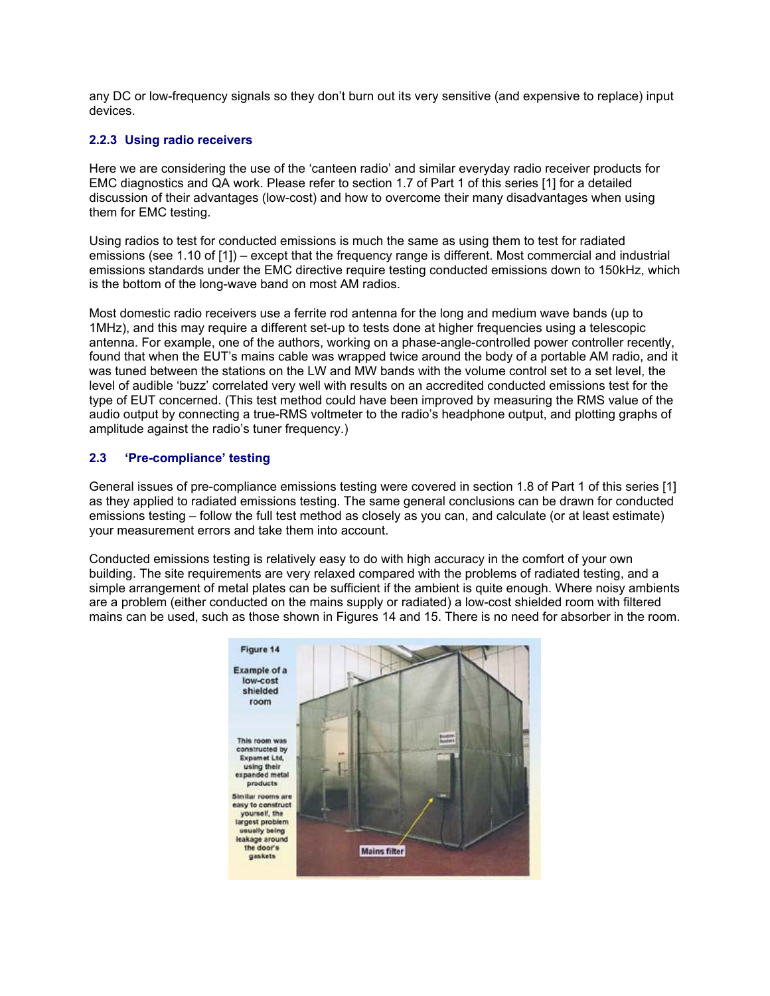any DC or low-frequency signals so they don't burn out its very sensitive (and expensive to replace) input devices.

# **2.2.3 Using radio receivers**

Here we are considering the use of the 'canteen radio' and similar everyday radio receiver products for EMC diagnostics and QA work. Please refer to section 1.7 of Part 1 of this series [1] for a detailed discussion of their advantages (low-cost) and how to overcome their many disadvantages when using them for EMC testing.

Using radios to test for conducted emissions is much the same as using them to test for radiated emissions (see 1.10 of [1]) – except that the frequency range is different. Most commercial and industrial emissions standards under the EMC directive require testing conducted emissions down to 150kHz, which is the bottom of the long-wave band on most AM radios.

Most domestic radio receivers use a ferrite rod antenna for the long and medium wave bands (up to 1MHz), and this may require a different set-up to tests done at higher frequencies using a telescopic antenna. For example, one of the authors, working on a phase-angle-controlled power controller recently, found that when the EUT's mains cable was wrapped twice around the body of a portable AM radio, and it was tuned between the stations on the LW and MW bands with the volume control set to a set level, the level of audible 'buzz' correlated very well with results on an accredited conducted emissions test for the type of EUT concerned. (This test method could have been improved by measuring the RMS value of the audio output by connecting a true-RMS voltmeter to the radio's headphone output, and plotting graphs of amplitude against the radio's tuner frequency.)

# **2.3'Pre-compliance' testing**

General issues of pre-compliance emissions testing were covered in section 1.8 of Part 1 of this series [1] as they applied to radiated emissions testing. The same general conclusions can be drawn for conducted emissions testing – follow the full test method as closely as you can, and calculate (or at least estimate) your measurement errors and take them into account.

Conducted emissions testing is relatively easy to do with high accuracy in the comfort of your own building. The site requirements are very relaxed compared with the problems of radiated testing, and a simple arrangement of metal plates can be sufficient if the ambient is quite enough. Where noisy ambients are a problem (either conducted on the mains supply or radiated) a low-cost shielded room with filtered mains can be used, such as those shown in Figures 14 and 15. There is no need for absorber in the room.

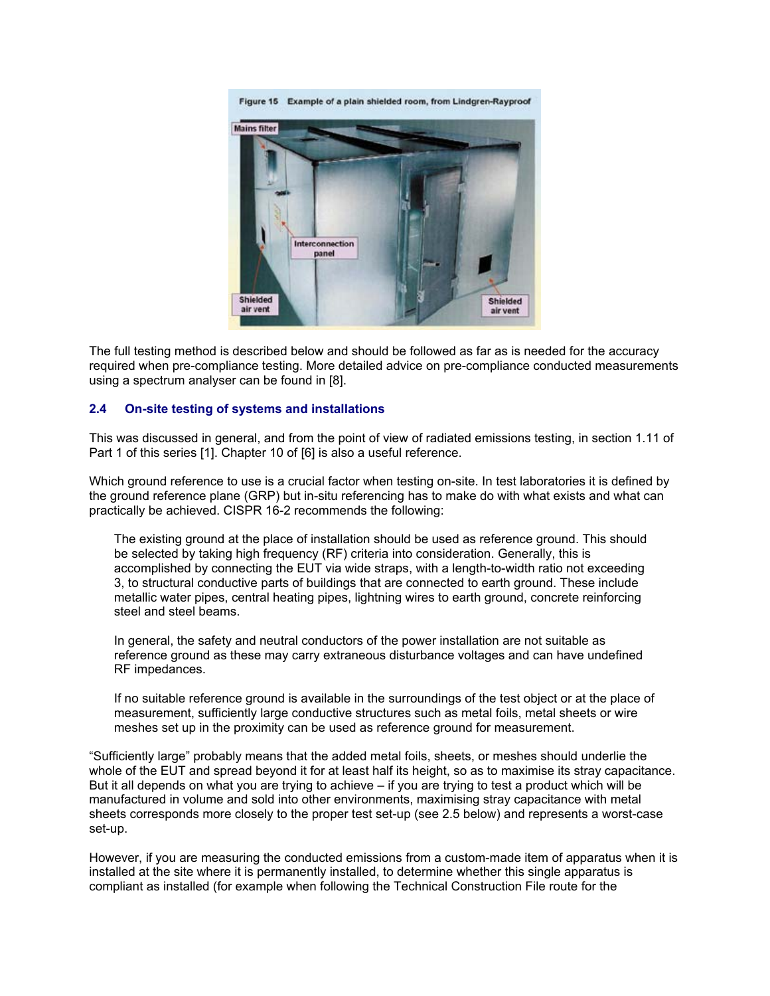

The full testing method is described below and should be followed as far as is needed for the accuracy required when pre-compliance testing. More detailed advice on pre-compliance conducted measurements using a spectrum analyser can be found in [8].

# **2.4 On-site testing of systems and installations**

This was discussed in general, and from the point of view of radiated emissions testing, in section 1.11 of Part 1 of this series [1]. Chapter 10 of [6] is also a useful reference.

Which ground reference to use is a crucial factor when testing on-site. In test laboratories it is defined by the ground reference plane (GRP) but in-situ referencing has to make do with what exists and what can practically be achieved. CISPR 16-2 recommends the following:

The existing ground at the place of installation should be used as reference ground. This should be selected by taking high frequency (RF) criteria into consideration. Generally, this is accomplished by connecting the EUT via wide straps, with a length-to-width ratio not exceeding 3, to structural conductive parts of buildings that are connected to earth ground. These include metallic water pipes, central heating pipes, lightning wires to earth ground, concrete reinforcing steel and steel beams.

In general, the safety and neutral conductors of the power installation are not suitable as reference ground as these may carry extraneous disturbance voltages and can have undefined RF impedances.

If no suitable reference ground is available in the surroundings of the test object or at the place of measurement, sufficiently large conductive structures such as metal foils, metal sheets or wire meshes set up in the proximity can be used as reference ground for measurement.

"Sufficiently large" probably means that the added metal foils, sheets, or meshes should underlie the whole of the EUT and spread beyond it for at least half its height, so as to maximise its stray capacitance. But it all depends on what you are trying to achieve – if you are trying to test a product which will be manufactured in volume and sold into other environments, maximising stray capacitance with metal sheets corresponds more closely to the proper test set-up (see 2.5 below) and represents a worst-case set-up.

However, if you are measuring the conducted emissions from a custom-made item of apparatus when it is installed at the site where it is permanently installed, to determine whether this single apparatus is compliant as installed (for example when following the Technical Construction File route for the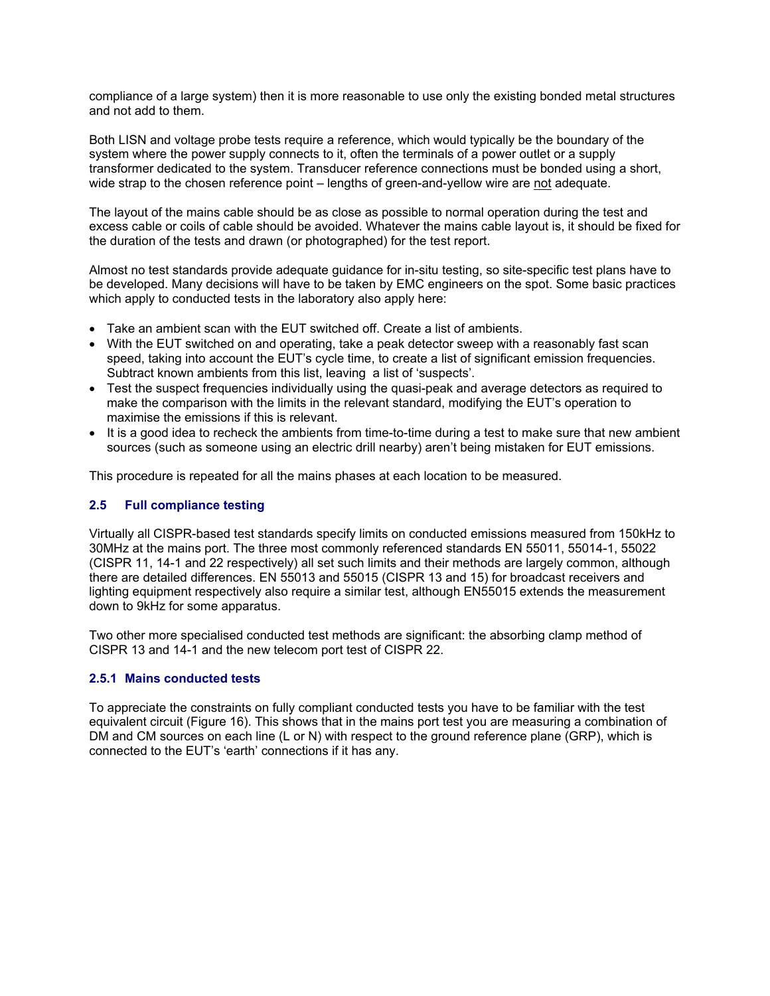compliance of a large system) then it is more reasonable to use only the existing bonded metal structures and not add to them.

Both LISN and voltage probe tests require a reference, which would typically be the boundary of the system where the power supply connects to it, often the terminals of a power outlet or a supply transformer dedicated to the system. Transducer reference connections must be bonded using a short, wide strap to the chosen reference point – lengths of green-and-yellow wire are not adequate.

The layout of the mains cable should be as close as possible to normal operation during the test and excess cable or coils of cable should be avoided. Whatever the mains cable layout is, it should be fixed for the duration of the tests and drawn (or photographed) for the test report.

Almost no test standards provide adequate guidance for in-situ testing, so site-specific test plans have to be developed. Many decisions will have to be taken by EMC engineers on the spot. Some basic practices which apply to conducted tests in the laboratory also apply here:

- Take an ambient scan with the EUT switched off. Create a list of ambients.
- With the EUT switched on and operating, take a peak detector sweep with a reasonably fast scan speed, taking into account the EUT's cycle time, to create a list of significant emission frequencies. Subtract known ambients from this list, leaving a list of 'suspects'.
- Test the suspect frequencies individually using the quasi-peak and average detectors as required to make the comparison with the limits in the relevant standard, modifying the EUT's operation to maximise the emissions if this is relevant.
- It is a good idea to recheck the ambients from time-to-time during a test to make sure that new ambient sources (such as someone using an electric drill nearby) aren't being mistaken for EUT emissions.

This procedure is repeated for all the mains phases at each location to be measured.

### **2.5 Full compliance testing**

Virtually all CISPR-based test standards specify limits on conducted emissions measured from 150kHz to 30MHz at the mains port. The three most commonly referenced standards EN 55011, 55014-1, 55022 (CISPR 11, 14-1 and 22 respectively) all set such limits and their methods are largely common, although there are detailed differences. EN 55013 and 55015 (CISPR 13 and 15) for broadcast receivers and lighting equipment respectively also require a similar test, although EN55015 extends the measurement down to 9kHz for some apparatus.

Two other more specialised conducted test methods are significant: the absorbing clamp method of CISPR 13 and 14-1 and the new telecom port test of CISPR 22.

#### **2.5.1 Mains conducted tests**

To appreciate the constraints on fully compliant conducted tests you have to be familiar with the test equivalent circuit (Figure 16). This shows that in the mains port test you are measuring a combination of DM and CM sources on each line (L or N) with respect to the ground reference plane (GRP), which is connected to the EUT's 'earth' connections if it has any.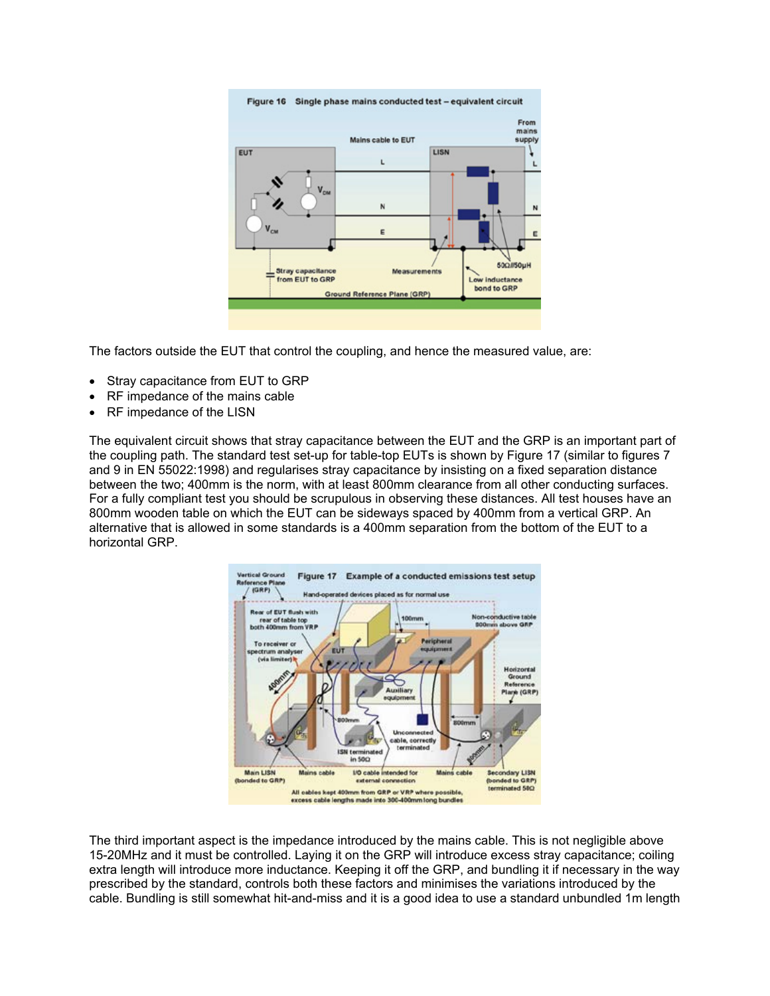

The factors outside the EUT that control the coupling, and hence the measured value, are:

- Stray capacitance from EUT to GRP
- RF impedance of the mains cable
- RF impedance of the LISN

The equivalent circuit shows that stray capacitance between the EUT and the GRP is an important part of the coupling path. The standard test set-up for table-top EUTs is shown by Figure 17 (similar to figures 7 and 9 in EN 55022:1998) and regularises stray capacitance by insisting on a fixed separation distance between the two; 400mm is the norm, with at least 800mm clearance from all other conducting surfaces. For a fully compliant test you should be scrupulous in observing these distances. All test houses have an 800mm wooden table on which the EUT can be sideways spaced by 400mm from a vertical GRP. An alternative that is allowed in some standards is a 400mm separation from the bottom of the EUT to a horizontal GRP.



The third important aspect is the impedance introduced by the mains cable. This is not negligible above 15-20MHz and it must be controlled. Laying it on the GRP will introduce excess stray capacitance; coiling extra length will introduce more inductance. Keeping it off the GRP, and bundling it if necessary in the way prescribed by the standard, controls both these factors and minimises the variations introduced by the cable. Bundling is still somewhat hit-and-miss and it is a good idea to use a standard unbundled 1m length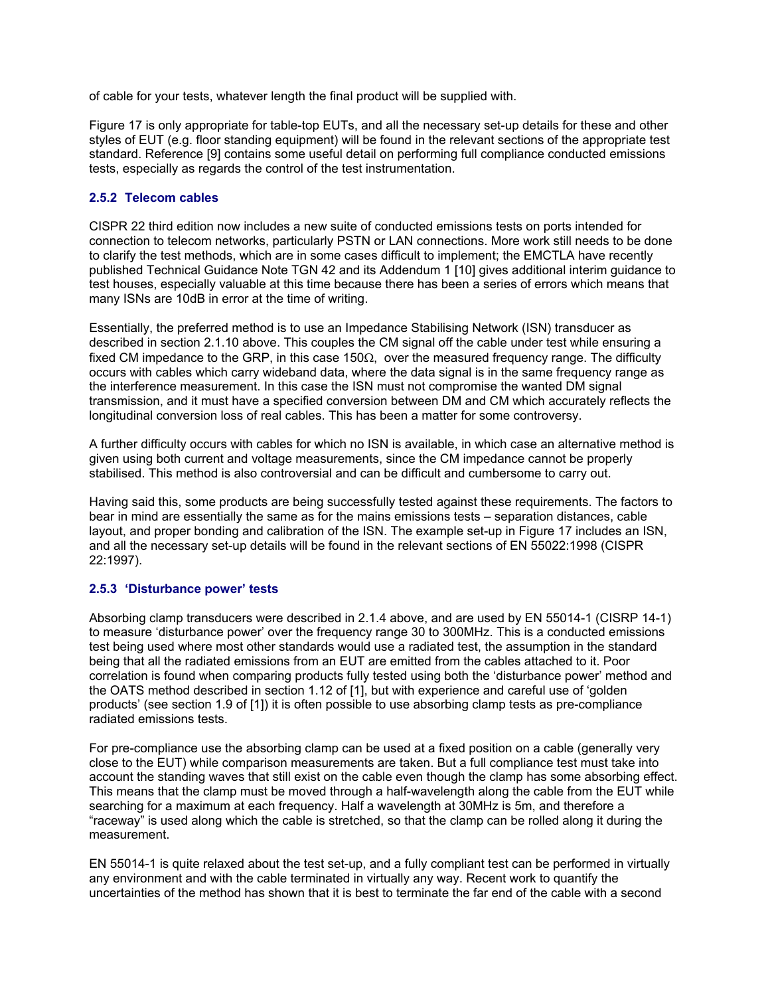of cable for your tests, whatever length the final product will be supplied with.

Figure 17 is only appropriate for table-top EUTs, and all the necessary set-up details for these and other styles of EUT (e.g. floor standing equipment) will be found in the relevant sections of the appropriate test standard. Reference [9] contains some useful detail on performing full compliance conducted emissions tests, especially as regards the control of the test instrumentation.

### **2.5.2 Telecom cables**

CISPR 22 third edition now includes a new suite of conducted emissions tests on ports intended for connection to telecom networks, particularly PSTN or LAN connections. More work still needs to be done to clarify the test methods, which are in some cases difficult to implement; the EMCTLA have recently published Technical Guidance Note TGN 42 and its Addendum 1 [10] gives additional interim guidance to test houses, especially valuable at this time because there has been a series of errors which means that many ISNs are 10dB in error at the time of writing.

Essentially, the preferred method is to use an Impedance Stabilising Network (ISN) transducer as described in section 2.1.10 above. This couples the CM signal off the cable under test while ensuring a fixed CM impedance to the GRP, in this case 150 $\Omega$ , over the measured frequency range. The difficulty occurs with cables which carry wideband data, where the data signal is in the same frequency range as the interference measurement. In this case the ISN must not compromise the wanted DM signal transmission, and it must have a specified conversion between DM and CM which accurately reflects the longitudinal conversion loss of real cables. This has been a matter for some controversy.

A further difficulty occurs with cables for which no ISN is available, in which case an alternative method is given using both current and voltage measurements, since the CM impedance cannot be properly stabilised. This method is also controversial and can be difficult and cumbersome to carry out.

Having said this, some products are being successfully tested against these requirements. The factors to bear in mind are essentially the same as for the mains emissions tests – separation distances, cable layout, and proper bonding and calibration of the ISN. The example set-up in Figure 17 includes an ISN, and all the necessary set-up details will be found in the relevant sections of EN 55022:1998 (CISPR 22:1997).

#### **2.5.3 'Disturbance power' tests**

Absorbing clamp transducers were described in 2.1.4 above, and are used by EN 55014-1 (CISRP 14-1) to measure 'disturbance power' over the frequency range 30 to 300MHz. This is a conducted emissions test being used where most other standards would use a radiated test, the assumption in the standard being that all the radiated emissions from an EUT are emitted from the cables attached to it. Poor correlation is found when comparing products fully tested using both the 'disturbance power' method and the OATS method described in section 1.12 of [1], but with experience and careful use of 'golden products' (see section 1.9 of [1]) it is often possible to use absorbing clamp tests as pre-compliance radiated emissions tests.

For pre-compliance use the absorbing clamp can be used at a fixed position on a cable (generally very close to the EUT) while comparison measurements are taken. But a full compliance test must take into account the standing waves that still exist on the cable even though the clamp has some absorbing effect. This means that the clamp must be moved through a half-wavelength along the cable from the EUT while searching for a maximum at each frequency. Half a wavelength at 30MHz is 5m, and therefore a "raceway" is used along which the cable is stretched, so that the clamp can be rolled along it during the measurement.

EN 55014-1 is quite relaxed about the test set-up, and a fully compliant test can be performed in virtually any environment and with the cable terminated in virtually any way. Recent work to quantify the uncertainties of the method has shown that it is best to terminate the far end of the cable with a second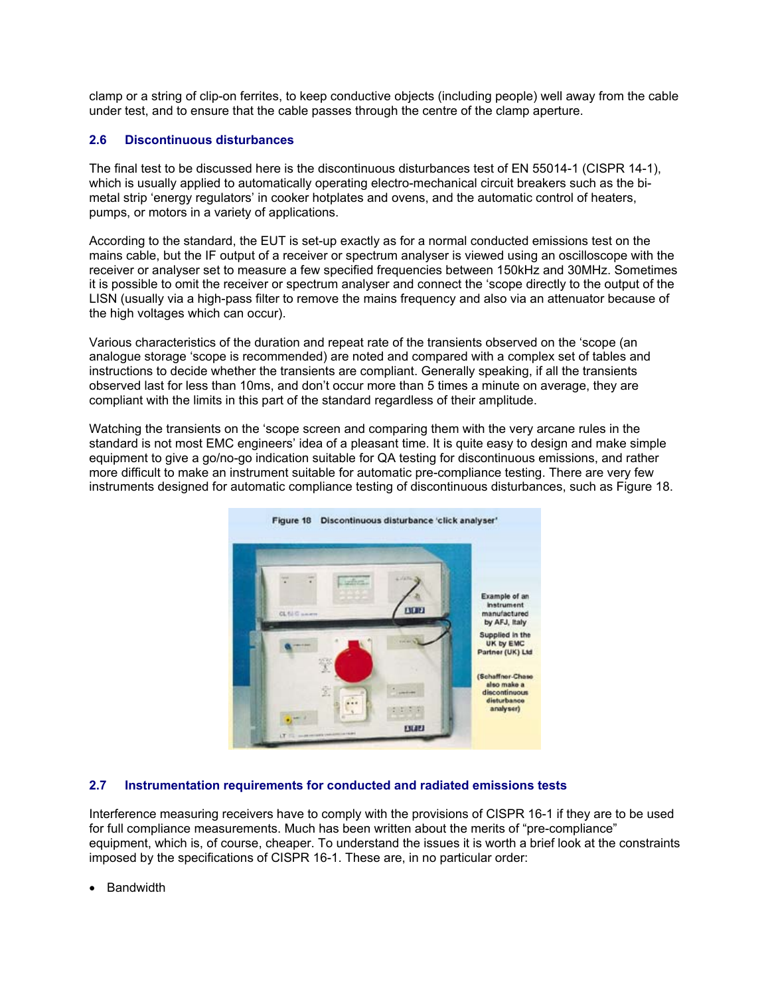clamp or a string of clip-on ferrites, to keep conductive objects (including people) well away from the cable under test, and to ensure that the cable passes through the centre of the clamp aperture.

# **2.6 Discontinuous disturbances**

The final test to be discussed here is the discontinuous disturbances test of EN 55014-1 (CISPR 14-1), which is usually applied to automatically operating electro-mechanical circuit breakers such as the bimetal strip 'energy regulators' in cooker hotplates and ovens, and the automatic control of heaters, pumps, or motors in a variety of applications.

According to the standard, the EUT is set-up exactly as for a normal conducted emissions test on the mains cable, but the IF output of a receiver or spectrum analyser is viewed using an oscilloscope with the receiver or analyser set to measure a few specified frequencies between 150kHz and 30MHz. Sometimes it is possible to omit the receiver or spectrum analyser and connect the 'scope directly to the output of the LISN (usually via a high-pass filter to remove the mains frequency and also via an attenuator because of the high voltages which can occur).

Various characteristics of the duration and repeat rate of the transients observed on the 'scope (an analogue storage 'scope is recommended) are noted and compared with a complex set of tables and instructions to decide whether the transients are compliant. Generally speaking, if all the transients observed last for less than 10ms, and don't occur more than 5 times a minute on average, they are compliant with the limits in this part of the standard regardless of their amplitude.

Watching the transients on the 'scope screen and comparing them with the very arcane rules in the standard is not most EMC engineers' idea of a pleasant time. It is quite easy to design and make simple equipment to give a go/no-go indication suitable for QA testing for discontinuous emissions, and rather more difficult to make an instrument suitable for automatic pre-compliance testing. There are very few instruments designed for automatic compliance testing of discontinuous disturbances, such as Figure 18.



#### **2.7 Instrumentation requirements for conducted and radiated emissions tests**

Interference measuring receivers have to comply with the provisions of CISPR 16-1 if they are to be used for full compliance measurements. Much has been written about the merits of "pre-compliance" equipment, which is, of course, cheaper. To understand the issues it is worth a brief look at the constraints imposed by the specifications of CISPR 16-1. These are, in no particular order:

• Bandwidth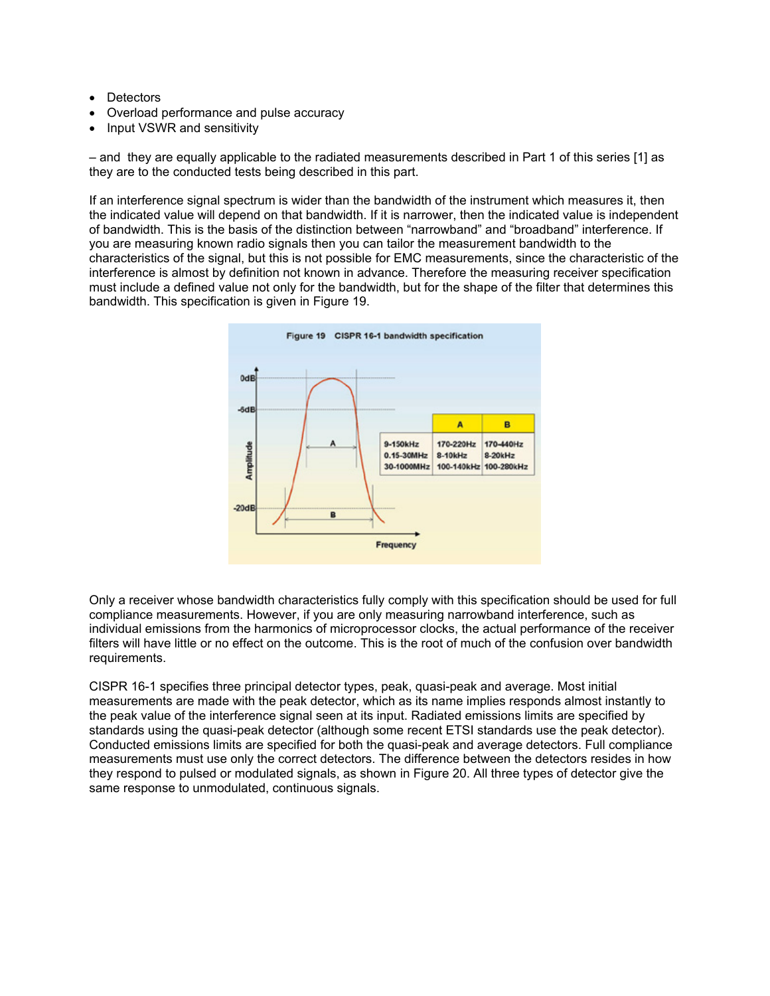- Detectors
- Overload performance and pulse accuracy
- Input VSWR and sensitivity

– and they are equally applicable to the radiated measurements described in Part 1 of this series [1] as they are to the conducted tests being described in this part.

If an interference signal spectrum is wider than the bandwidth of the instrument which measures it, then the indicated value will depend on that bandwidth. If it is narrower, then the indicated value is independent of bandwidth. This is the basis of the distinction between "narrowband" and "broadband" interference. If you are measuring known radio signals then you can tailor the measurement bandwidth to the characteristics of the signal, but this is not possible for EMC measurements, since the characteristic of the interference is almost by definition not known in advance. Therefore the measuring receiver specification must include a defined value not only for the bandwidth, but for the shape of the filter that determines this bandwidth. This specification is given in Figure 19.



Only a receiver whose bandwidth characteristics fully comply with this specification should be used for full compliance measurements. However, if you are only measuring narrowband interference, such as individual emissions from the harmonics of microprocessor clocks, the actual performance of the receiver filters will have little or no effect on the outcome. This is the root of much of the confusion over bandwidth requirements.

CISPR 16-1 specifies three principal detector types, peak, quasi-peak and average. Most initial measurements are made with the peak detector, which as its name implies responds almost instantly to the peak value of the interference signal seen at its input. Radiated emissions limits are specified by standards using the quasi-peak detector (although some recent ETSI standards use the peak detector). Conducted emissions limits are specified for both the quasi-peak and average detectors. Full compliance measurements must use only the correct detectors. The difference between the detectors resides in how they respond to pulsed or modulated signals, as shown in Figure 20. All three types of detector give the same response to unmodulated, continuous signals.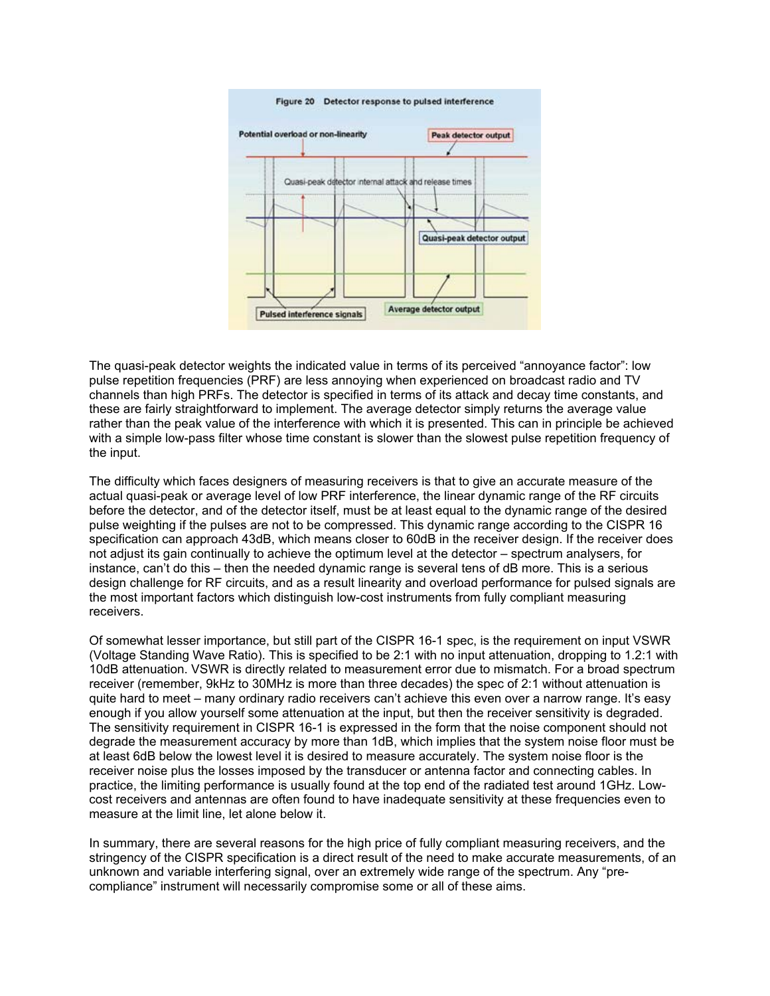

The quasi-peak detector weights the indicated value in terms of its perceived "annoyance factor": low pulse repetition frequencies (PRF) are less annoying when experienced on broadcast radio and TV channels than high PRFs. The detector is specified in terms of its attack and decay time constants, and these are fairly straightforward to implement. The average detector simply returns the average value rather than the peak value of the interference with which it is presented. This can in principle be achieved with a simple low-pass filter whose time constant is slower than the slowest pulse repetition frequency of the input.

The difficulty which faces designers of measuring receivers is that to give an accurate measure of the actual quasi-peak or average level of low PRF interference, the linear dynamic range of the RF circuits before the detector, and of the detector itself, must be at least equal to the dynamic range of the desired pulse weighting if the pulses are not to be compressed. This dynamic range according to the CISPR 16 specification can approach 43dB, which means closer to 60dB in the receiver design. If the receiver does not adjust its gain continually to achieve the optimum level at the detector – spectrum analysers, for instance, can't do this – then the needed dynamic range is several tens of dB more. This is a serious design challenge for RF circuits, and as a result linearity and overload performance for pulsed signals are the most important factors which distinguish low-cost instruments from fully compliant measuring receivers.

Of somewhat lesser importance, but still part of the CISPR 16-1 spec, is the requirement on input VSWR (Voltage Standing Wave Ratio). This is specified to be 2:1 with no input attenuation, dropping to 1.2:1 with 10dB attenuation. VSWR is directly related to measurement error due to mismatch. For a broad spectrum receiver (remember, 9kHz to 30MHz is more than three decades) the spec of 2:1 without attenuation is quite hard to meet – many ordinary radio receivers can't achieve this even over a narrow range. It's easy enough if you allow yourself some attenuation at the input, but then the receiver sensitivity is degraded. The sensitivity requirement in CISPR 16-1 is expressed in the form that the noise component should not degrade the measurement accuracy by more than 1dB, which implies that the system noise floor must be at least 6dB below the lowest level it is desired to measure accurately. The system noise floor is the receiver noise plus the losses imposed by the transducer or antenna factor and connecting cables. In practice, the limiting performance is usually found at the top end of the radiated test around 1GHz. Lowcost receivers and antennas are often found to have inadequate sensitivity at these frequencies even to measure at the limit line, let alone below it.

In summary, there are several reasons for the high price of fully compliant measuring receivers, and the stringency of the CISPR specification is a direct result of the need to make accurate measurements, of an unknown and variable interfering signal, over an extremely wide range of the spectrum. Any "precompliance" instrument will necessarily compromise some or all of these aims.